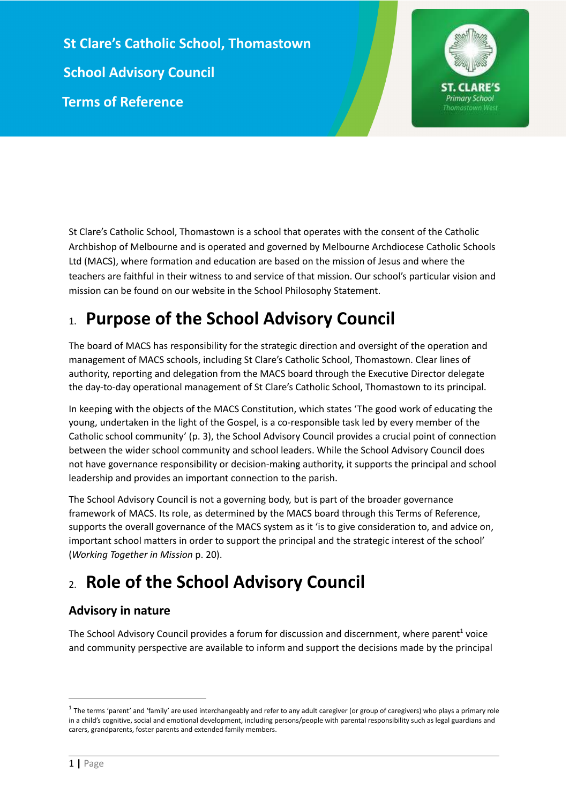**St Clare's Catholic School, Thomastown School Advisory Council Terms of Reference**



St Clare's Catholic School, Thomastown is a school that operates with the consent of the Catholic Archbishop of Melbourne and is operated and governed by Melbourne Archdiocese Catholic Schools Ltd (MACS), where formation and education are based on the mission of Jesus and where the teachers are faithful in their witness to and service of that mission. Our school's particular vision and mission can be found on our website in the School Philosophy Statement.

# 1. **Purpose of the School Advisory Council**

The board of MACS has responsibility for the strategic direction and oversight of the operation and management of MACS schools, including St Clare's Catholic School, Thomastown. Clear lines of authority, reporting and delegation from the MACS board through the Executive Director delegate the day-to-day operational management of St Clare's Catholic School, Thomastown to its principal.

In keeping with the objects of the MACS Constitution, which states 'The good work of educating the young, undertaken in the light of the Gospel, is a co-responsible task led by every member of the Catholic school community' (p. 3), the School Advisory Council provides a crucial point of connection between the wider school community and school leaders. While the School Advisory Council does not have governance responsibility or decision-making authority, it supports the principal and school leadership and provides an important connection to the parish.

The School Advisory Council is not a governing body, but is part of the broader governance framework of MACS. Its role, as determined by the MACS board through this Terms of Reference, supports the overall governance of the MACS system as it 'is to give consideration to, and advice on, important school matters in order to support the principal and the strategic interest of the school' (*Working Together in Mission* p. 20).

# 2. **Role of the School Advisory Council**

## **Advisory in nature**

The School Advisory Council provides a forum for discussion and discernment, where parent<sup>1</sup> voice and community perspective are available to inform and support the decisions made by the principal

 $^{\rm 1}$  The terms 'parent' and 'family' are used interchangeably and refer to any adult caregiver (or group of caregivers) who plays a primary role in a child's cognitive, social and emotional development, including persons/people with parental responsibility such as legal guardians and carers, grandparents, foster parents and extended family members.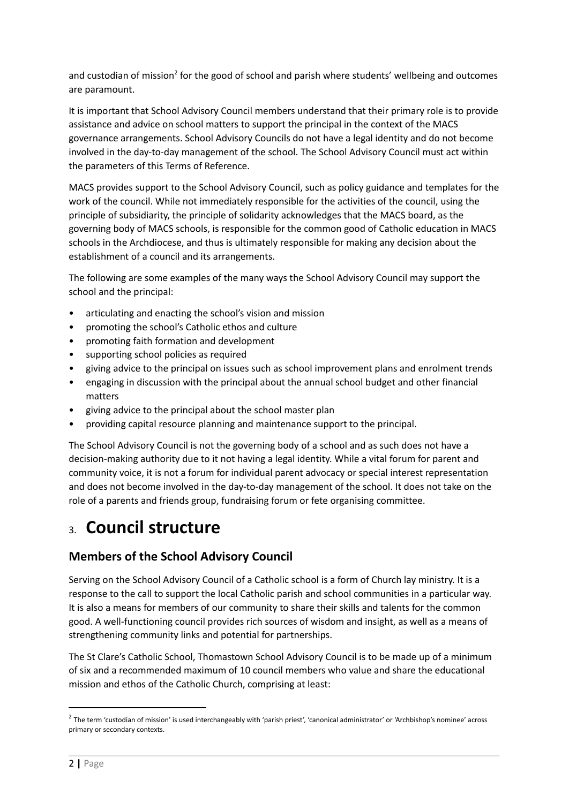and custodian of mission<sup>2</sup> for the good of school and parish where students' wellbeing and outcomes are paramount.

It is important that School Advisory Council members understand that their primary role is to provide assistance and advice on school matters to support the principal in the context of the MACS governance arrangements. School Advisory Councils do not have a legal identity and do not become involved in the day-to-day management of the school. The School Advisory Council must act within the parameters of this Terms of Reference.

MACS provides support to the School Advisory Council, such as policy guidance and templates for the work of the council. While not immediately responsible for the activities of the council, using the principle of subsidiarity, the principle of solidarity acknowledges that the MACS board, as the governing body of MACS schools, is responsible for the common good of Catholic education in MACS schools in the Archdiocese, and thus is ultimately responsible for making any decision about the establishment of a council and its arrangements.

The following are some examples of the many ways the School Advisory Council may support the school and the principal:

- articulating and enacting the school's vision and mission
- promoting the school's Catholic ethos and culture
- promoting faith formation and development
- supporting school policies as required
- giving advice to the principal on issues such as school improvement plans and enrolment trends
- engaging in discussion with the principal about the annual school budget and other financial matters
- giving advice to the principal about the school master plan
- providing capital resource planning and maintenance support to the principal.

The School Advisory Council is not the governing body of a school and as such does not have a decision-making authority due to it not having a legal identity. While a vital forum for parent and community voice, it is not a forum for individual parent advocacy or special interest representation and does not become involved in the day-to-day management of the school. It does not take on the role of a parents and friends group, fundraising forum or fete organising committee.

## 3. **Council structure**

## **Members of the School Advisory Council**

Serving on the School Advisory Council of a Catholic school is a form of Church lay ministry. It is a response to the call to support the local Catholic parish and school communities in a particular way. It is also a means for members of our community to share their skills and talents for the common good. A well-functioning council provides rich sources of wisdom and insight, as well as a means of strengthening community links and potential for partnerships.

The St Clare's Catholic School, Thomastown School Advisory Council is to be made up of a minimum of six and a recommended maximum of 10 council members who value and share the educational mission and ethos of the Catholic Church, comprising at least:

<sup>&</sup>lt;sup>2</sup> The term 'custodian of mission' is used interchangeably with 'parish priest', 'canonical administrator' or 'Archbishop's nominee' across primary or secondary contexts.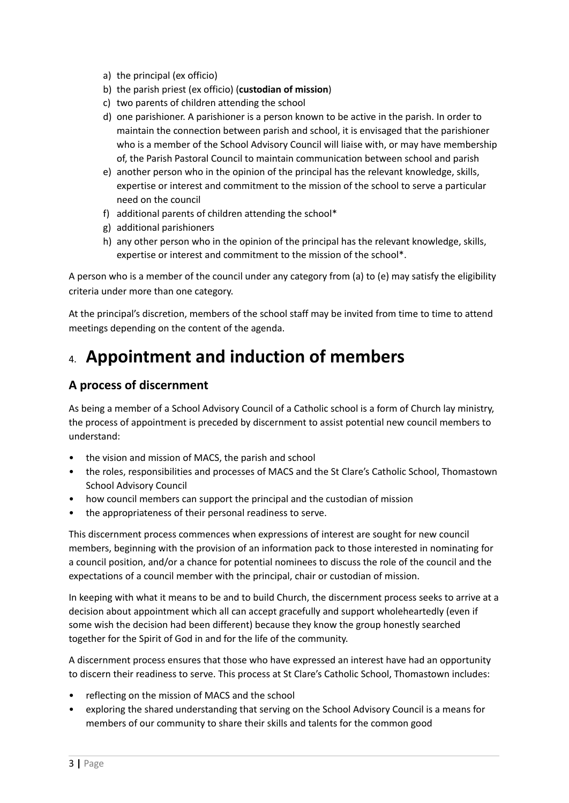- a) the principal (ex officio)
- b) the parish priest (ex officio) (**custodian of mission**)
- c) two parents of children attending the school
- d) one parishioner. A parishioner is a person known to be active in the parish. In order to maintain the connection between parish and school, it is envisaged that the parishioner who is a member of the School Advisory Council will liaise with, or may have membership of, the Parish Pastoral Council to maintain communication between school and parish
- e) another person who in the opinion of the principal has the relevant knowledge, skills, expertise or interest and commitment to the mission of the school to serve a particular need on the council
- f) additional parents of children attending the school\*
- g) additional parishioners
- h) any other person who in the opinion of the principal has the relevant knowledge, skills, expertise or interest and commitment to the mission of the school\*.

A person who is a member of the council under any category from (a) to (e) may satisfy the eligibility criteria under more than one category.

At the principal's discretion, members of the school staff may be invited from time to time to attend meetings depending on the content of the agenda.

# 4. **Appointment and induction of members**

## **A process of discernment**

As being a member of a School Advisory Council of a Catholic school is a form of Church lay ministry, the process of appointment is preceded by discernment to assist potential new council members to understand:

- the vision and mission of MACS, the parish and school
- the roles, responsibilities and processes of MACS and the St Clare's Catholic School, Thomastown School Advisory Council
- how council members can support the principal and the custodian of mission
- the appropriateness of their personal readiness to serve.

This discernment process commences when expressions of interest are sought for new council members, beginning with the provision of an information pack to those interested in nominating for a council position, and/or a chance for potential nominees to discuss the role of the council and the expectations of a council member with the principal, chair or custodian of mission.

In keeping with what it means to be and to build Church, the discernment process seeks to arrive at a decision about appointment which all can accept gracefully and support wholeheartedly (even if some wish the decision had been different) because they know the group honestly searched together for the Spirit of God in and for the life of the community.

A discernment process ensures that those who have expressed an interest have had an opportunity to discern their readiness to serve. This process at St Clare's Catholic School, Thomastown includes:

- reflecting on the mission of MACS and the school
- exploring the shared understanding that serving on the School Advisory Council is a means for members of our community to share their skills and talents for the common good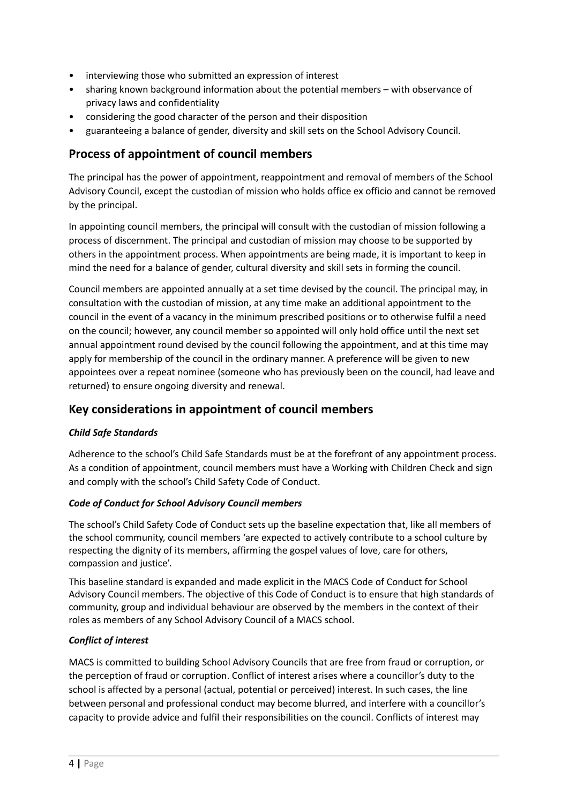- interviewing those who submitted an expression of interest
- sharing known background information about the potential members with observance of privacy laws and confidentiality
- considering the good character of the person and their disposition
- guaranteeing a balance of gender, diversity and skill sets on the School Advisory Council.

## **Process of appointment of council members**

The principal has the power of appointment, reappointment and removal of members of the School Advisory Council, except the custodian of mission who holds office ex officio and cannot be removed by the principal.

In appointing council members, the principal will consult with the custodian of mission following a process of discernment. The principal and custodian of mission may choose to be supported by others in the appointment process. When appointments are being made, it is important to keep in mind the need for a balance of gender, cultural diversity and skill sets in forming the council.

Council members are appointed annually at a set time devised by the council. The principal may, in consultation with the custodian of mission, at any time make an additional appointment to the council in the event of a vacancy in the minimum prescribed positions or to otherwise fulfil a need on the council; however, any council member so appointed will only hold office until the next set annual appointment round devised by the council following the appointment, and at this time may apply for membership of the council in the ordinary manner. A preference will be given to new appointees over a repeat nominee (someone who has previously been on the council, had leave and returned) to ensure ongoing diversity and renewal.

## **Key considerations in appointment of council members**

#### *Child Safe Standards*

Adherence to the school's Child Safe Standards must be at the forefront of any appointment process. As a condition of appointment, council members must have a Working with Children Check and sign and comply with the school's Child Safety Code of Conduct.

#### *Code of Conduct for School Advisory Council members*

The school's Child Safety Code of Conduct sets up the baseline expectation that, like all members of the school community, council members 'are expected to actively contribute to a school culture by respecting the dignity of its members, affirming the gospel values of love, care for others, compassion and justice'.

This baseline standard is expanded and made explicit in the MACS Code of Conduct for School Advisory Council members. The objective of this Code of Conduct is to ensure that high standards of community, group and individual behaviour are observed by the members in the context of their roles as members of any School Advisory Council of a MACS school.

#### *Conflict of interest*

MACS is committed to building School Advisory Councils that are free from fraud or corruption, or the perception of fraud or corruption. Conflict of interest arises where a councillor's duty to the school is affected by a personal (actual, potential or perceived) interest. In such cases, the line between personal and professional conduct may become blurred, and interfere with a councillor's capacity to provide advice and fulfil their responsibilities on the council. Conflicts of interest may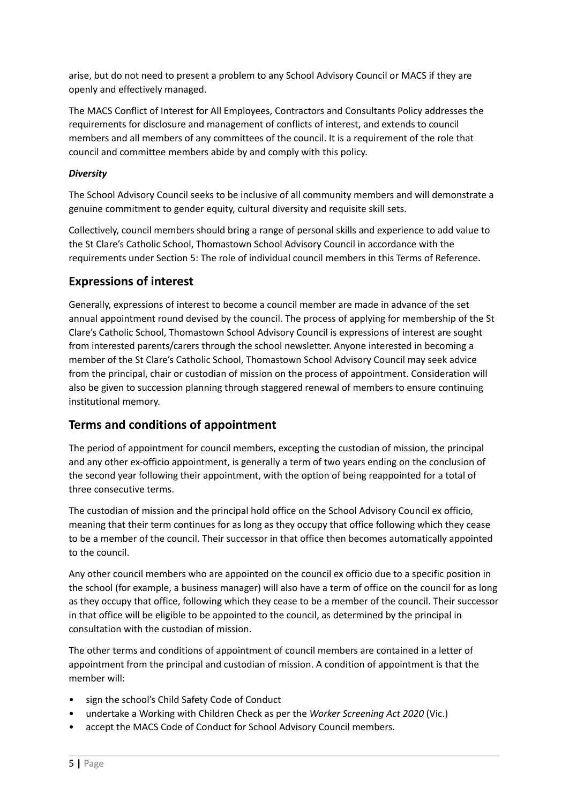arise, but do not need to present a problem to any School Advisory Council or MACS if they are openly and effectively managed.

The MACS Conflict of Interest for All Employees, Contractors and Consultants Policy addresses the requirements for disclosure and management of conflicts of interest, and extends to council members and all members of any committees of the council. It is a requirement of the role that council and committee members abide by and comply with this policy.

#### *Diversity*

The School Advisory Council seeks to be inclusive of all community members and will demonstrate a genuine commitment to gender equity, cultural diversity and requisite skill sets.

Collectively, council members should bring a range of personal skills and experience to add value to the St Clare's Catholic School, Thomastown School Advisory Council in accordance with the requirements under Section 5: The role of individual council members in this Terms of Reference.

### **Expressions of interest**

Generally, expressions of interest to become a council member are made in advance of the set annual appointment round devised by the council. The process of applying for membership of the St Clare's Catholic School, Thomastown School Advisory Council is expressions of interest are sought from interested parents/carers through the school newsletter. Anyone interested in becoming a member of the St Clare's Catholic School, Thomastown School Advisory Council may seek advice from the principal, chair or custodian of mission on the process of appointment. Consideration will also be given to succession planning through staggered renewal of members to ensure continuing institutional memory.

## **Terms and conditions of appointment**

The period of appointment for council members, excepting the custodian of mission, the principal and any other ex-officio appointment, is generally a term of two years ending on the conclusion of the second year following their appointment, with the option of being reappointed for a total of three consecutive terms.

The custodian of mission and the principal hold office on the School Advisory Council ex officio, meaning that their term continues for as long as they occupy that office following which they cease to be a member of the council. Their successor in that office then becomes automatically appointed to the council.

Any other council members who are appointed on the council ex officio due to a specific position in the school (for example, a business manager) will also have a term of office on the council for as long as they occupy that office, following which they cease to be a member of the council. Their successor in that office will be eligible to be appointed to the council, as determined by the principal in consultation with the custodian of mission.

The other terms and conditions of appointment of council members are contained in a letter of appointment from the principal and custodian of mission. A condition of appointment is that the member will:

- sign the school's Child Safety Code of Conduct
- undertake a Working with Children Check as per the *Worker Screening Act 2020* (Vic.)
- accept the MACS Code of Conduct for School Advisory Council members.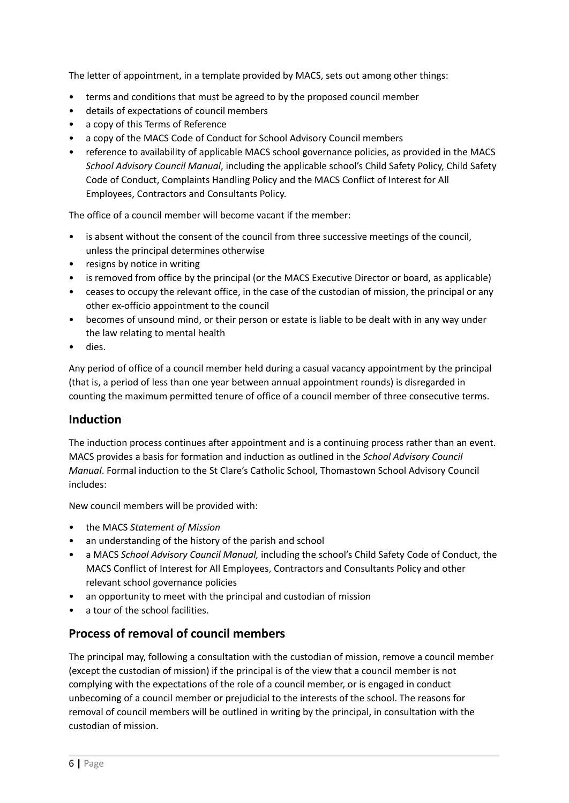The letter of appointment, in a template provided by MACS, sets out among other things:

- terms and conditions that must be agreed to by the proposed council member
- details of expectations of council members
- a copy of this Terms of Reference
- a copy of the MACS Code of Conduct for School Advisory Council members
- reference to availability of applicable MACS school governance policies, as provided in the MACS *School Advisory Council Manual*, including the applicable school's Child Safety Policy, Child Safety Code of Conduct, Complaints Handling Policy and the MACS Conflict of Interest for All Employees, Contractors and Consultants Policy.

The office of a council member will become vacant if the member:

- is absent without the consent of the council from three successive meetings of the council, unless the principal determines otherwise
- resigns by notice in writing
- is removed from office by the principal (or the MACS Executive Director or board, as applicable)
- ceases to occupy the relevant office, in the case of the custodian of mission, the principal or any other ex-officio appointment to the council
- becomes of unsound mind, or their person or estate is liable to be dealt with in any way under the law relating to mental health
- dies.

Any period of office of a council member held during a casual vacancy appointment by the principal (that is, a period of less than one year between annual appointment rounds) is disregarded in counting the maximum permitted tenure of office of a council member of three consecutive terms.

#### **Induction**

The induction process continues after appointment and is a continuing process rather than an event. MACS provides a basis for formation and induction as outlined in the *School Advisory Council Manual*. Formal induction to the St Clare's Catholic School, Thomastown School Advisory Council includes:

New council members will be provided with:

- the MACS *Statement of Mission*
- an understanding of the history of the parish and school
- a MACS *School Advisory Council Manual,* including the school's Child Safety Code of Conduct, the MACS Conflict of Interest for All Employees, Contractors and Consultants Policy and other relevant school governance policies
- an opportunity to meet with the principal and custodian of mission
- a tour of the school facilities.

#### **Process of removal of council members**

The principal may, following a consultation with the custodian of mission, remove a council member (except the custodian of mission) if the principal is of the view that a council member is not complying with the expectations of the role of a council member, or is engaged in conduct unbecoming of a council member or prejudicial to the interests of the school. The reasons for removal of council members will be outlined in writing by the principal, in consultation with the custodian of mission.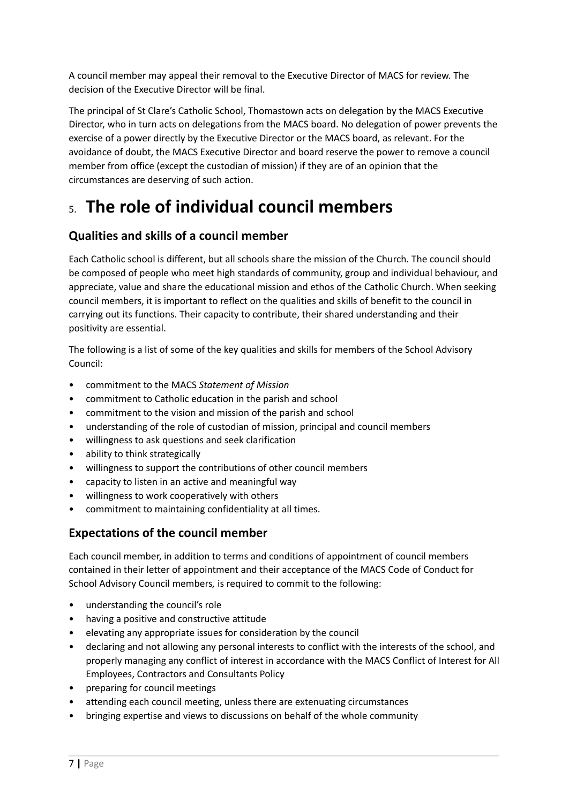A council member may appeal their removal to the Executive Director of MACS for review. The decision of the Executive Director will be final.

The principal of St Clare's Catholic School, Thomastown acts on delegation by the MACS Executive Director, who in turn acts on delegations from the MACS board. No delegation of power prevents the exercise of a power directly by the Executive Director or the MACS board, as relevant. For the avoidance of doubt, the MACS Executive Director and board reserve the power to remove a council member from office (except the custodian of mission) if they are of an opinion that the circumstances are deserving of such action.

# 5. **The role of individual council members**

## **Qualities and skills of a council member**

Each Catholic school is different, but all schools share the mission of the Church. The council should be composed of people who meet high standards of community, group and individual behaviour, and appreciate, value and share the educational mission and ethos of the Catholic Church. When seeking council members, it is important to reflect on the qualities and skills of benefit to the council in carrying out its functions. Their capacity to contribute, their shared understanding and their positivity are essential.

The following is a list of some of the key qualities and skills for members of the School Advisory Council:

- commitment to the MACS *Statement of Mission*
- commitment to Catholic education in the parish and school
- commitment to the vision and mission of the parish and school
- understanding of the role of custodian of mission, principal and council members
- willingness to ask questions and seek clarification
- ability to think strategically
- willingness to support the contributions of other council members
- capacity to listen in an active and meaningful way
- willingness to work cooperatively with others
- commitment to maintaining confidentiality at all times.

### **Expectations of the council member**

Each council member, in addition to terms and conditions of appointment of council members contained in their letter of appointment and their acceptance of the MACS Code of Conduct for School Advisory Council members*,* is required to commit to the following:

- understanding the council's role
- having a positive and constructive attitude
- elevating any appropriate issues for consideration by the council
- declaring and not allowing any personal interests to conflict with the interests of the school, and properly managing any conflict of interest in accordance with the MACS Conflict of Interest for All Employees, Contractors and Consultants Policy
- preparing for council meetings
- attending each council meeting, unless there are extenuating circumstances
- bringing expertise and views to discussions on behalf of the whole community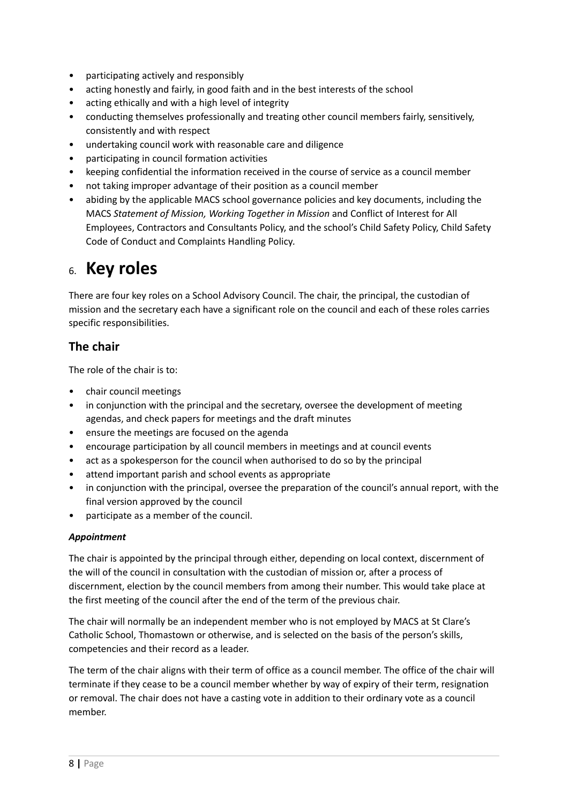- participating actively and responsibly
- acting honestly and fairly, in good faith and in the best interests of the school
- acting ethically and with a high level of integrity
- conducting themselves professionally and treating other council members fairly, sensitively, consistently and with respect
- undertaking council work with reasonable care and diligence
- participating in council formation activities
- keeping confidential the information received in the course of service as a council member
- not taking improper advantage of their position as a council member
- abiding by the applicable MACS school governance policies and key documents, including the MACS *Statement of Mission, Working Together in Mission* and Conflict of Interest for All Employees, Contractors and Consultants Policy, and the school's Child Safety Policy, Child Safety Code of Conduct and Complaints Handling Policy*.*

## 6. **Key roles**

There are four key roles on a School Advisory Council. The chair, the principal, the custodian of mission and the secretary each have a significant role on the council and each of these roles carries specific responsibilities.

## **The chair**

The role of the chair is to:

- chair council meetings
- in conjunction with the principal and the secretary, oversee the development of meeting agendas, and check papers for meetings and the draft minutes
- ensure the meetings are focused on the agenda
- encourage participation by all council members in meetings and at council events
- act as a spokesperson for the council when authorised to do so by the principal
- attend important parish and school events as appropriate
- in conjunction with the principal, oversee the preparation of the council's annual report, with the final version approved by the council
- participate as a member of the council.

#### *Appointment*

The chair is appointed by the principal through either, depending on local context, discernment of the will of the council in consultation with the custodian of mission or, after a process of discernment, election by the council members from among their number. This would take place at the first meeting of the council after the end of the term of the previous chair.

The chair will normally be an independent member who is not employed by MACS at St Clare's Catholic School, Thomastown or otherwise, and is selected on the basis of the person's skills, competencies and their record as a leader.

The term of the chair aligns with their term of office as a council member. The office of the chair will terminate if they cease to be a council member whether by way of expiry of their term, resignation or removal. The chair does not have a casting vote in addition to their ordinary vote as a council member.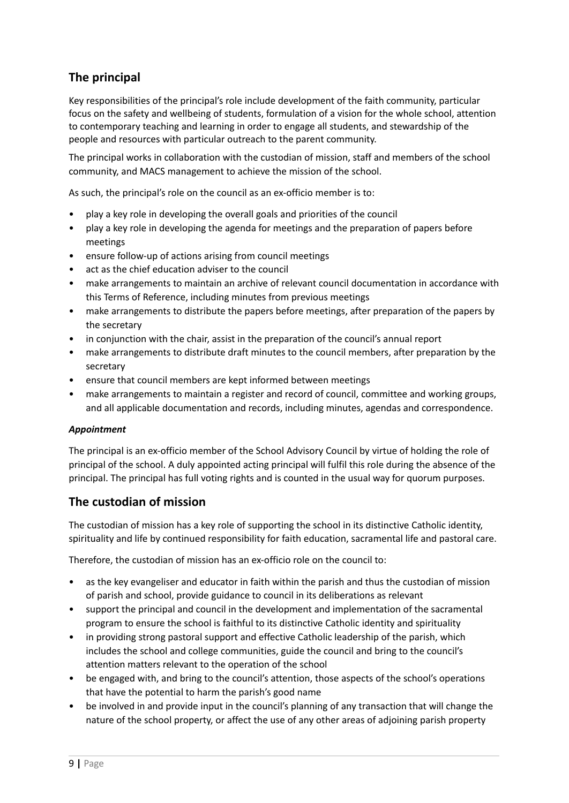## **The principal**

Key responsibilities of the principal's role include development of the faith community, particular focus on the safety and wellbeing of students, formulation of a vision for the whole school, attention to contemporary teaching and learning in order to engage all students, and stewardship of the people and resources with particular outreach to the parent community.

The principal works in collaboration with the custodian of mission, staff and members of the school community, and MACS management to achieve the mission of the school.

As such, the principal's role on the council as an ex-officio member is to:

- play a key role in developing the overall goals and priorities of the council
- play a key role in developing the agenda for meetings and the preparation of papers before meetings
- ensure follow-up of actions arising from council meetings
- act as the chief education adviser to the council
- make arrangements to maintain an archive of relevant council documentation in accordance with this Terms of Reference, including minutes from previous meetings
- make arrangements to distribute the papers before meetings, after preparation of the papers by the secretary
- in conjunction with the chair, assist in the preparation of the council's annual report
- make arrangements to distribute draft minutes to the council members, after preparation by the secretary
- ensure that council members are kept informed between meetings
- make arrangements to maintain a register and record of council, committee and working groups, and all applicable documentation and records, including minutes, agendas and correspondence.

#### *Appointment*

The principal is an ex-officio member of the School Advisory Council by virtue of holding the role of principal of the school. A duly appointed acting principal will fulfil this role during the absence of the principal. The principal has full voting rights and is counted in the usual way for quorum purposes.

## **The custodian of mission**

The custodian of mission has a key role of supporting the school in its distinctive Catholic identity, spirituality and life by continued responsibility for faith education, sacramental life and pastoral care.

Therefore, the custodian of mission has an ex-officio role on the council to:

- as the key evangeliser and educator in faith within the parish and thus the custodian of mission of parish and school, provide guidance to council in its deliberations as relevant
- support the principal and council in the development and implementation of the sacramental program to ensure the school is faithful to its distinctive Catholic identity and spirituality
- in providing strong pastoral support and effective Catholic leadership of the parish, which includes the school and college communities, guide the council and bring to the council's attention matters relevant to the operation of the school
- be engaged with, and bring to the council's attention, those aspects of the school's operations that have the potential to harm the parish's good name
- be involved in and provide input in the council's planning of any transaction that will change the nature of the school property, or affect the use of any other areas of adjoining parish property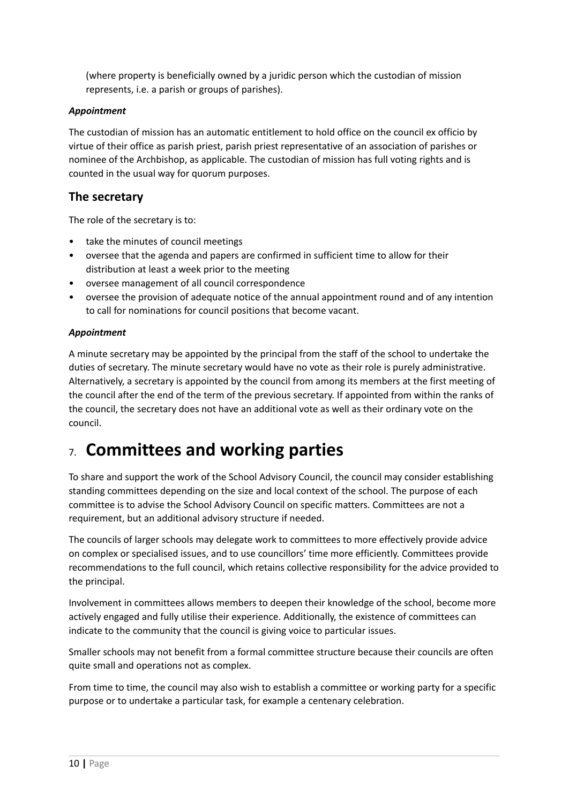(where property is beneficially owned by a juridic person which the custodian of mission represents, i.e. a parish or groups of parishes).

#### *Appointment*

The custodian of mission has an automatic entitlement to hold office on the council ex officio by virtue of their office as parish priest, parish priest representative of an association of parishes or nominee of the Archbishop, as applicable. The custodian of mission has full voting rights and is counted in the usual way for quorum purposes.

### **The secretary**

The role of the secretary is to:

- take the minutes of council meetings
- oversee that the agenda and papers are confirmed in sufficient time to allow for their distribution at least a week prior to the meeting
- oversee management of all council correspondence
- oversee the provision of adequate notice of the annual appointment round and of any intention to call for nominations for council positions that become vacant.

#### *Appointment*

A minute secretary may be appointed by the principal from the staff of the school to undertake the duties of secretary. The minute secretary would have no vote as their role is purely administrative. Alternatively, a secretary is appointed by the council from among its members at the first meeting of the council after the end of the term of the previous secretary. If appointed from within the ranks of the council, the secretary does not have an additional vote as well as their ordinary vote on the council.

## 7. **Committees and working parties**

To share and support the work of the School Advisory Council, the council may consider establishing standing committees depending on the size and local context of the school. The purpose of each committee is to advise the School Advisory Council on specific matters. Committees are not a requirement, but an additional advisory structure if needed.

The councils of larger schools may delegate work to committees to more effectively provide advice on complex or specialised issues, and to use councillors' time more efficiently. Committees provide recommendations to the full council, which retains collective responsibility for the advice provided to the principal.

Involvement in committees allows members to deepen their knowledge of the school, become more actively engaged and fully utilise their experience. Additionally, the existence of committees can indicate to the community that the council is giving voice to particular issues.

Smaller schools may not benefit from a formal committee structure because their councils are often quite small and operations not as complex.

From time to time, the council may also wish to establish a committee or working party for a specific purpose or to undertake a particular task, for example a centenary celebration.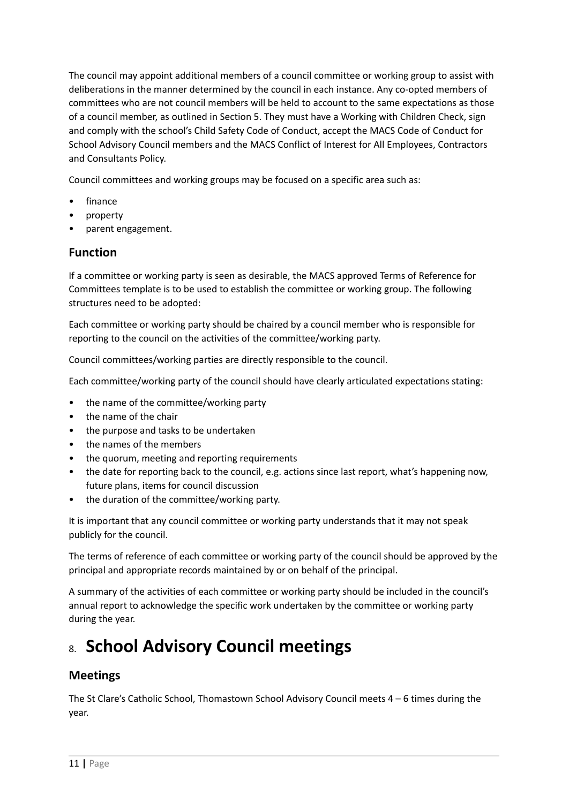The council may appoint additional members of a council committee or working group to assist with deliberations in the manner determined by the council in each instance. Any co-opted members of committees who are not council members will be held to account to the same expectations as those of a council member, as outlined in Section 5. They must have a Working with Children Check, sign and comply with the school's Child Safety Code of Conduct, accept the MACS Code of Conduct for School Advisory Council members and the MACS Conflict of Interest for All Employees, Contractors and Consultants Policy.

Council committees and working groups may be focused on a specific area such as:

- finance
- property
- parent engagement.

## **Function**

If a committee or working party is seen as desirable, the MACS approved Terms of Reference for Committees template is to be used to establish the committee or working group. The following structures need to be adopted:

Each committee or working party should be chaired by a council member who is responsible for reporting to the council on the activities of the committee/working party.

Council committees/working parties are directly responsible to the council.

Each committee/working party of the council should have clearly articulated expectations stating:

- the name of the committee/working party
- the name of the chair
- the purpose and tasks to be undertaken
- the names of the members
- the quorum, meeting and reporting requirements
- the date for reporting back to the council, e.g. actions since last report, what's happening now, future plans, items for council discussion
- the duration of the committee/working party.

It is important that any council committee or working party understands that it may not speak publicly for the council.

The terms of reference of each committee or working party of the council should be approved by the principal and appropriate records maintained by or on behalf of the principal.

A summary of the activities of each committee or working party should be included in the council's annual report to acknowledge the specific work undertaken by the committee or working party during the year.

# 8. **School Advisory Council meetings**

## **Meetings**

The St Clare's Catholic School, Thomastown School Advisory Council meets  $4 - 6$  times during the year.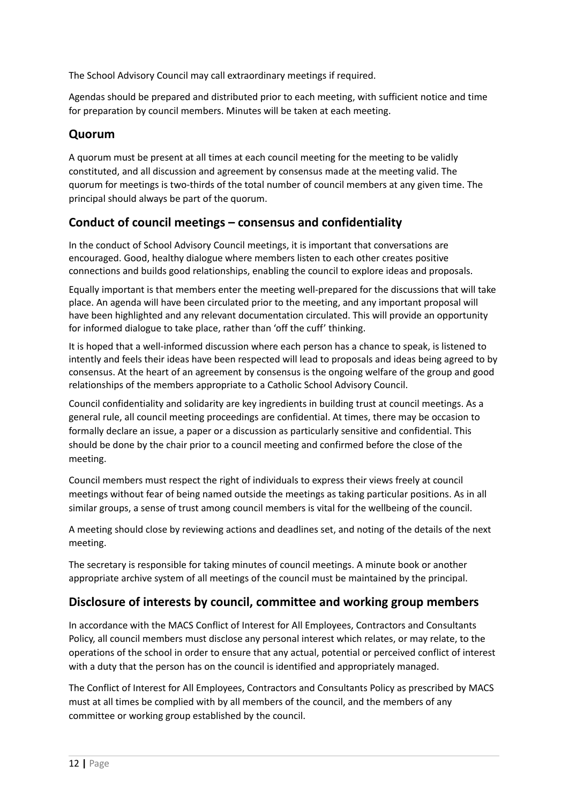The School Advisory Council may call extraordinary meetings if required.

Agendas should be prepared and distributed prior to each meeting, with sufficient notice and time for preparation by council members. Minutes will be taken at each meeting.

### **Quorum**

A quorum must be present at all times at each council meeting for the meeting to be validly constituted, and all discussion and agreement by consensus made at the meeting valid. The quorum for meetings is two-thirds of the total number of council members at any given time. The principal should always be part of the quorum.

## **Conduct of council meetings – consensus and confidentiality**

In the conduct of School Advisory Council meetings, it is important that conversations are encouraged. Good, healthy dialogue where members listen to each other creates positive connections and builds good relationships, enabling the council to explore ideas and proposals.

Equally important is that members enter the meeting well-prepared for the discussions that will take place. An agenda will have been circulated prior to the meeting, and any important proposal will have been highlighted and any relevant documentation circulated. This will provide an opportunity for informed dialogue to take place, rather than 'off the cuff' thinking.

It is hoped that a well-informed discussion where each person has a chance to speak, is listened to intently and feels their ideas have been respected will lead to proposals and ideas being agreed to by consensus. At the heart of an agreement by consensus is the ongoing welfare of the group and good relationships of the members appropriate to a Catholic School Advisory Council.

Council confidentiality and solidarity are key ingredients in building trust at council meetings. As a general rule, all council meeting proceedings are confidential. At times, there may be occasion to formally declare an issue, a paper or a discussion as particularly sensitive and confidential. This should be done by the chair prior to a council meeting and confirmed before the close of the meeting.

Council members must respect the right of individuals to express their views freely at council meetings without fear of being named outside the meetings as taking particular positions. As in all similar groups, a sense of trust among council members is vital for the wellbeing of the council.

A meeting should close by reviewing actions and deadlines set, and noting of the details of the next meeting.

The secretary is responsible for taking minutes of council meetings. A minute book or another appropriate archive system of all meetings of the council must be maintained by the principal.

## **Disclosure of interests by council, committee and working group members**

In accordance with the MACS Conflict of Interest for All Employees, Contractors and Consultants Policy, all council members must disclose any personal interest which relates, or may relate, to the operations of the school in order to ensure that any actual, potential or perceived conflict of interest with a duty that the person has on the council is identified and appropriately managed.

The Conflict of Interest for All Employees, Contractors and Consultants Policy as prescribed by MACS must at all times be complied with by all members of the council, and the members of any committee or working group established by the council.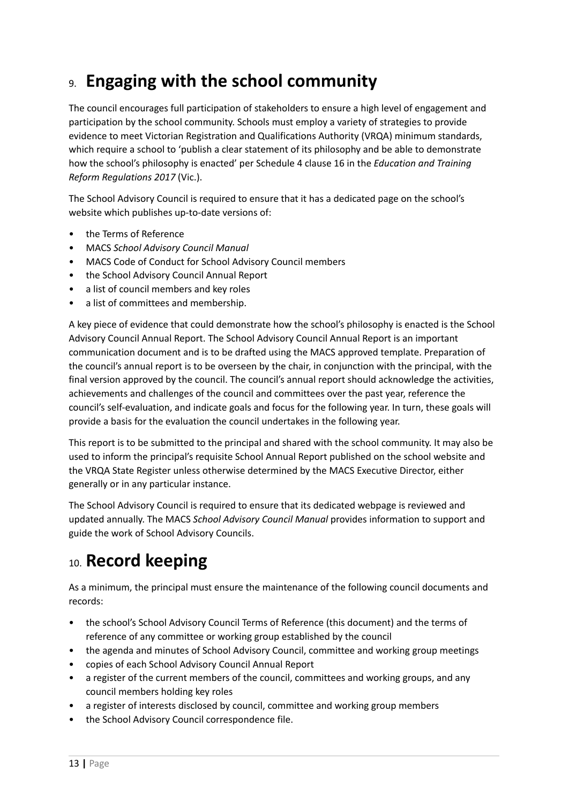# 9. **Engaging with the school community**

The council encourages full participation of stakeholders to ensure a high level of engagement and participation by the school community. Schools must employ a variety of strategies to provide evidence to meet Victorian Registration and Qualifications Authority (VRQA) minimum standards, which require a school to 'publish a clear statement of its philosophy and be able to demonstrate how the school's philosophy is enacted' per Schedule 4 clause 16 in the *Education and Training Reform Regulations 2017* (Vic.).

The School Advisory Council is required to ensure that it has a dedicated page on the school's website which publishes up-to-date versions of:

- the Terms of Reference
- MACS *School Advisory Council Manual*
- MACS Code of Conduct for School Advisory Council members
- the School Advisory Council Annual Report
- a list of council members and key roles
- a list of committees and membership.

A key piece of evidence that could demonstrate how the school's philosophy is enacted is the School Advisory Council Annual Report. The School Advisory Council Annual Report is an important communication document and is to be drafted using the MACS approved template. Preparation of the council's annual report is to be overseen by the chair, in conjunction with the principal, with the final version approved by the council. The council's annual report should acknowledge the activities, achievements and challenges of the council and committees over the past year, reference the council's self-evaluation, and indicate goals and focus for the following year. In turn, these goals will provide a basis for the evaluation the council undertakes in the following year.

This report is to be submitted to the principal and shared with the school community. It may also be used to inform the principal's requisite School Annual Report published on the school website and the VRQA State Register unless otherwise determined by the MACS Executive Director, either generally or in any particular instance.

The School Advisory Council is required to ensure that its dedicated webpage is reviewed and updated annually. The MACS *School Advisory Council Manual* provides information to support and guide the work of School Advisory Councils.

# 10. **Record keeping**

As a minimum, the principal must ensure the maintenance of the following council documents and records:

- the school's School Advisory Council Terms of Reference (this document) and the terms of reference of any committee or working group established by the council
- the agenda and minutes of School Advisory Council, committee and working group meetings
- copies of each School Advisory Council Annual Report
- a register of the current members of the council, committees and working groups, and any council members holding key roles
- a register of interests disclosed by council, committee and working group members
- the School Advisory Council correspondence file.